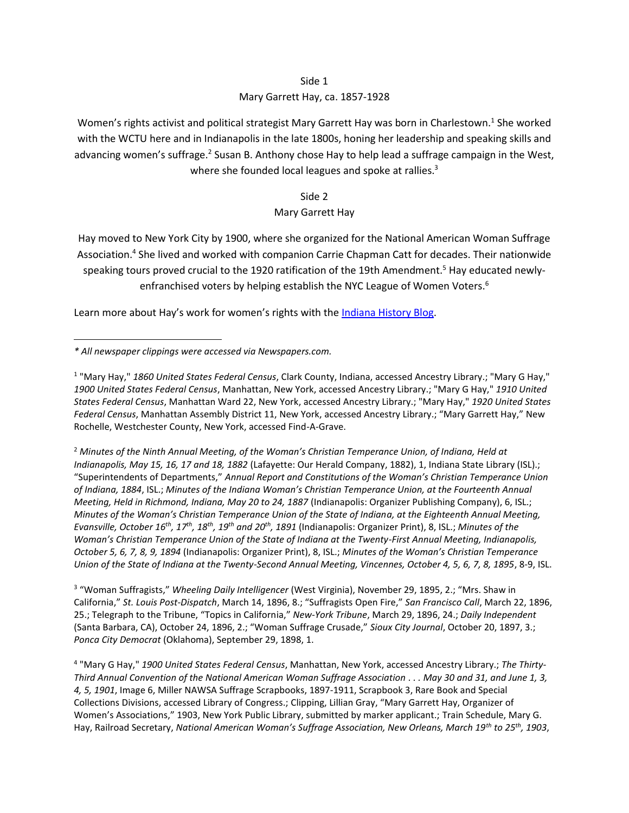## Side 1

## Mary Garrett Hay, ca. 1857-1928

Women's rights activist and political strategist Mary Garrett Hay was born in Charlestown.<sup>1</sup> She worked with the WCTU here and in Indianapolis in the late 1800s, honing her leadership and speaking skills and advancing women's suffrage.<sup>2</sup> Susan B. Anthony chose Hay to help lead a suffrage campaign in the West, where she founded local leagues and spoke at rallies.<sup>3</sup>

Side 2

## Mary Garrett Hay

Hay moved to New York City by 1900, where she organized for the National American Woman Suffrage Association.<sup>4</sup> She lived and worked with companion Carrie Chapman Catt for decades. Their nationwide speaking tours proved crucial to the 1920 ratification of the 19th Amendment.<sup>5</sup> Hay educated newlyenfranchised voters by helping establish the NYC League of Women Voters.<sup>6</sup>

Learn more about Hay's work for women's rights with th[e Indiana History Blog.](https://blog.history.in.gov/?p=9321&preview=true)

<sup>2</sup> *Minutes of the Ninth Annual Meeting, of the Woman's Christian Temperance Union, of Indiana, Held at Indianapolis, May 15, 16, 17 and 18, 1882* (Lafayette: Our Herald Company, 1882), 1, Indiana State Library (ISL).; "Superintendents of Departments," *Annual Report and Constitutions of the Woman's Christian Temperance Union of Indiana, 1884*, ISL.; *Minutes of the Indiana Woman's Christian Temperance Union, at the Fourteenth Annual Meeting, Held in Richmond, Indiana, May 20 to 24, 1887* (Indianapolis: Organizer Publishing Company), 6, ISL.; *Minutes of the Woman's Christian Temperance Union of the State of Indiana, at the Eighteenth Annual Meeting, Evansville, October 16th, 17th, 18th, 19th and 20th, 1891* (Indianapolis: Organizer Print), 8, ISL.; *Minutes of the Woman's Christian Temperance Union of the State of Indiana at the Twenty-First Annual Meeting, Indianapolis, October 5, 6, 7, 8, 9, 1894* (Indianapolis: Organizer Print), 8, ISL.; *Minutes of the Woman's Christian Temperance Union of the State of Indiana at the Twenty-Second Annual Meeting, Vincennes, October 4, 5, 6, 7, 8, 1895*, 8-9, ISL.

3 "Woman Suffragists," *Wheeling Daily Intelligencer* (West Virginia), November 29, 1895, 2.; "Mrs. Shaw in California," *St. Louis Post-Dispatch*, March 14, 1896, 8.; "Suffragists Open Fire," *San Francisco Call*, March 22, 1896, 25.; Telegraph to the Tribune, "Topics in California," *New-York Tribune*, March 29, 1896, 24.; *Daily Independent* (Santa Barbara, CA), October 24, 1896, 2.; "Woman Suffrage Crusade," *Sioux City Journal*, October 20, 1897, 3.; *Ponca City Democrat* (Oklahoma), September 29, 1898, 1.

4 "Mary G Hay," *1900 United States Federal Census*, Manhattan, New York, accessed Ancestry Library.; *The Thirty-Third Annual Convention of the National American Woman Suffrage Association . . . May 30 and 31, and June 1, 3, 4, 5, 1901*, Image 6, Miller NAWSA Suffrage Scrapbooks, 1897-1911, Scrapbook 3, Rare Book and Special Collections Divisions, accessed Library of Congress.; Clipping, Lillian Gray, "Mary Garrett Hay, Organizer of Women's Associations," 1903, New York Public Library, submitted by marker applicant.; Train Schedule, Mary G. Hay, Railroad Secretary, *National American Woman's Suffrage Association, New Orleans, March 19th to 25th, 1903*,

*<sup>\*</sup> All newspaper clippings were accessed via Newspapers.com.*

<sup>1</sup> "Mary Hay," *1860 United States Federal Census*, Clark County, Indiana, accessed Ancestry Library.; "Mary G Hay," *1900 United States Federal Census*, Manhattan, New York, accessed Ancestry Library.; "Mary G Hay," *1910 United States Federal Census*, Manhattan Ward 22, New York, accessed Ancestry Library.; "Mary Hay," *1920 United States Federal Census*, Manhattan Assembly District 11, New York, accessed Ancestry Library.; "Mary Garrett Hay," New Rochelle, Westchester County, New York, accessed Find-A-Grave.